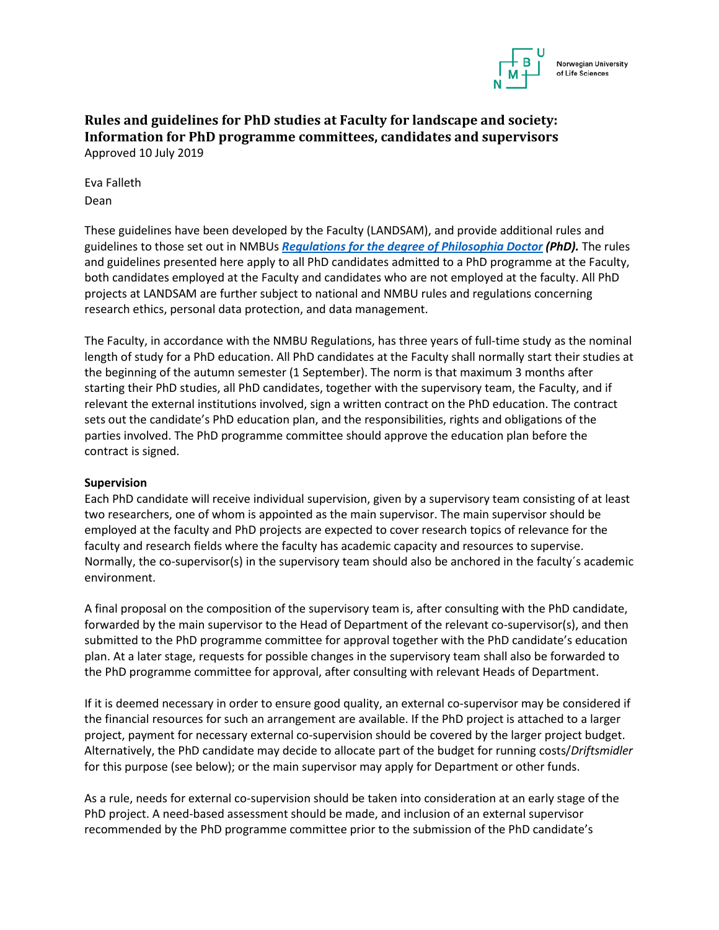

Norwegian University of Life Sciences

# **Rules and guidelines for PhD studies at Faculty for landscape and society: Information for PhD programme committees, candidates and supervisors** Approved 10 July 2019

Eva Falleth

Dean

These guidelines have been developed by the Faculty (LANDSAM), and provide additional rules and guidelines to those set out in NMBUs *[Regulations for the degree of Philosophia Doctor](https://www.nmbu.no/forskning/forskerutdanning/forskrifter) (PhD).* The rules and guidelines presented here apply to all PhD candidates admitted to a PhD programme at the Faculty, both candidates employed at the Faculty and candidates who are not employed at the faculty. All PhD projects at LANDSAM are further subject to national and NMBU rules and regulations concerning research ethics, personal data protection, and data management.

The Faculty, in accordance with the NMBU Regulations, has three years of full-time study as the nominal length of study for a PhD education. All PhD candidates at the Faculty shall normally start their studies at the beginning of the autumn semester (1 September). The norm is that maximum 3 months after starting their PhD studies, all PhD candidates, together with the supervisory team, the Faculty, and if relevant the external institutions involved, sign a written contract on the PhD education. The contract sets out the candidate's PhD education plan, and the responsibilities, rights and obligations of the parties involved. The PhD programme committee should approve the education plan before the contract is signed.

### **Supervision**

Each PhD candidate will receive individual supervision, given by a supervisory team consisting of at least two researchers, one of whom is appointed as the main supervisor. The main supervisor should be employed at the faculty and PhD projects are expected to cover research topics of relevance for the faculty and research fields where the faculty has academic capacity and resources to supervise. Normally, the co-supervisor(s) in the supervisory team should also be anchored in the faculty´s academic environment.

A final proposal on the composition of the supervisory team is, after consulting with the PhD candidate, forwarded by the main supervisor to the Head of Department of the relevant co-supervisor(s), and then submitted to the PhD programme committee for approval together with the PhD candidate's education plan. At a later stage, requests for possible changes in the supervisory team shall also be forwarded to the PhD programme committee for approval, after consulting with relevant Heads of Department.

If it is deemed necessary in order to ensure good quality, an external co-supervisor may be considered if the financial resources for such an arrangement are available. If the PhD project is attached to a larger project, payment for necessary external co-supervision should be covered by the larger project budget. Alternatively, the PhD candidate may decide to allocate part of the budget for running costs/*Driftsmidler* for this purpose (see below); or the main supervisor may apply for Department or other funds.

As a rule, needs for external co-supervision should be taken into consideration at an early stage of the PhD project. A need-based assessment should be made, and inclusion of an external supervisor recommended by the PhD programme committee prior to the submission of the PhD candidate's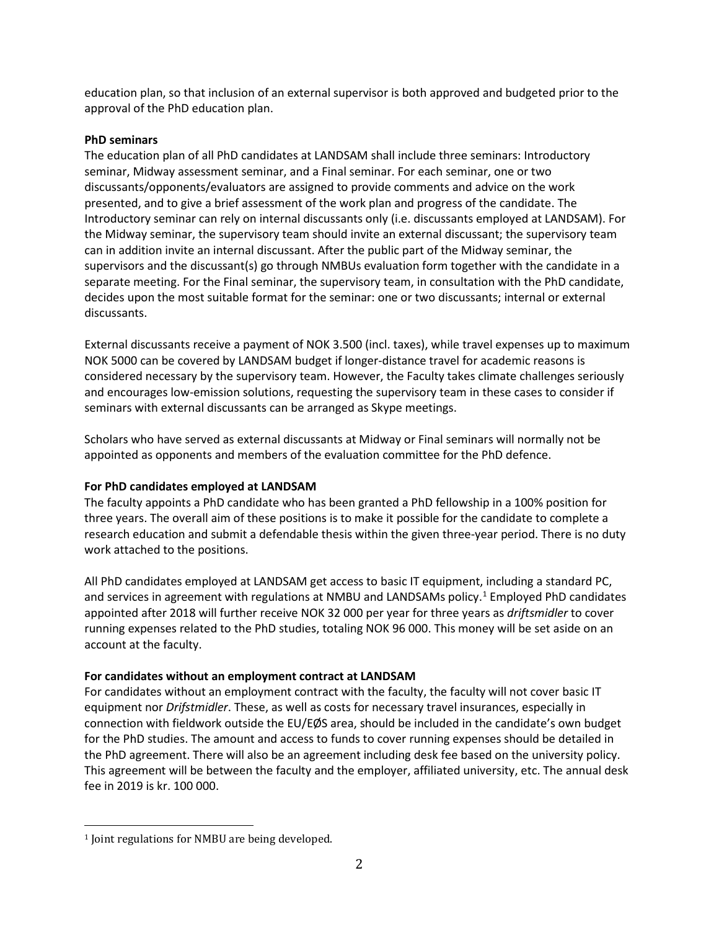education plan, so that inclusion of an external supervisor is both approved and budgeted prior to the approval of the PhD education plan.

### **PhD seminars**

The education plan of all PhD candidates at LANDSAM shall include three seminars: Introductory seminar, Midway assessment seminar, and a Final seminar. For each seminar, one or two discussants/opponents/evaluators are assigned to provide comments and advice on the work presented, and to give a brief assessment of the work plan and progress of the candidate. The Introductory seminar can rely on internal discussants only (i.e. discussants employed at LANDSAM). For the Midway seminar, the supervisory team should invite an external discussant; the supervisory team can in addition invite an internal discussant. After the public part of the Midway seminar, the supervisors and the discussant(s) go through NMBUs evaluation form together with the candidate in a separate meeting. For the Final seminar, the supervisory team, in consultation with the PhD candidate, decides upon the most suitable format for the seminar: one or two discussants; internal or external discussants.

External discussants receive a payment of NOK 3.500 (incl. taxes), while travel expenses up to maximum NOK 5000 can be covered by LANDSAM budget if longer-distance travel for academic reasons is considered necessary by the supervisory team. However, the Faculty takes climate challenges seriously and encourages low-emission solutions, requesting the supervisory team in these cases to consider if seminars with external discussants can be arranged as Skype meetings.

Scholars who have served as external discussants at Midway or Final seminars will normally not be appointed as opponents and members of the evaluation committee for the PhD defence.

### **For PhD candidates employed at LANDSAM**

The faculty appoints a PhD candidate who has been granted a PhD fellowship in a 100% position for three years. The overall aim of these positions is to make it possible for the candidate to complete a research education and submit a defendable thesis within the given three-year period. There is no duty work attached to the positions.

All PhD candidates employed at LANDSAM get access to basic IT equipment, including a standard PC, and services in agreement with regulations at NMBU and LANDSAMs policy. [1](#page-1-0) Employed PhD candidates appointed after 2018 will further receive NOK 32 000 per year for three years as *driftsmidler* to cover running expenses related to the PhD studies, totaling NOK 96 000. This money will be set aside on an account at the faculty.

### **For candidates without an employment contract at LANDSAM**

For candidates without an employment contract with the faculty, the faculty will not cover basic IT equipment nor *Drifstmidler*. These, as well as costs for necessary travel insurances, especially in connection with fieldwork outside the EU/EØS area, should be included in the candidate's own budget for the PhD studies. The amount and access to funds to cover running expenses should be detailed in the PhD agreement. There will also be an agreement including desk fee based on the university policy. This agreement will be between the faculty and the employer, affiliated university, etc. The annual desk fee in 2019 is kr. 100 000.

<span id="page-1-0"></span><sup>&</sup>lt;sup>1</sup> Joint regulations for NMBU are being developed.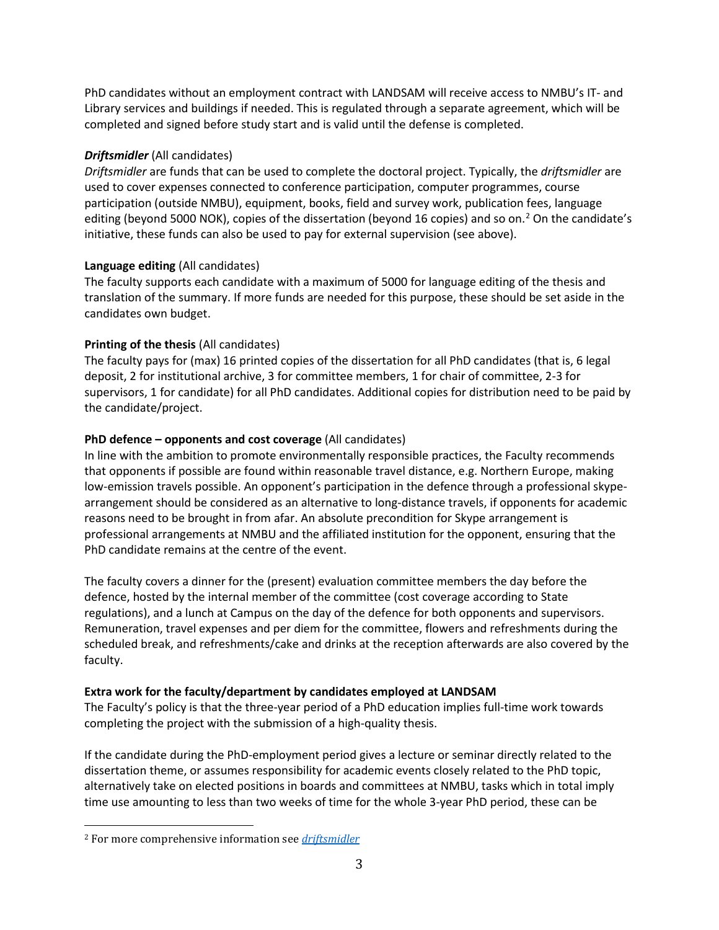PhD candidates without an employment contract with LANDSAM will receive access to NMBU's IT- and Library services and buildings if needed. This is regulated through a separate agreement, which will be completed and signed before study start and is valid until the defense is completed.

### *Driftsmidler* (All candidates)

*Driftsmidler* are funds that can be used to complete the doctoral project. Typically, the *driftsmidler* are used to cover expenses connected to conference participation, computer programmes, course participation (outside NMBU), equipment, books, field and survey work, publication fees, language editing (beyond 5000 NOK), copies of the dissertation (beyond 16 copies) and so on.<sup>[2](#page-2-0)</sup> On the candidate's initiative, these funds can also be used to pay for external supervision (see above).

### **Language editing** (All candidates)

The faculty supports each candidate with a maximum of 5000 for language editing of the thesis and translation of the summary. If more funds are needed for this purpose, these should be set aside in the candidates own budget.

# **Printing of the thesis** (All candidates)

The faculty pays for (max) 16 printed copies of the dissertation for all PhD candidates (that is, 6 legal deposit, 2 for institutional archive, 3 for committee members, 1 for chair of committee, 2-3 for supervisors, 1 for candidate) for all PhD candidates. Additional copies for distribution need to be paid by the candidate/project.

# **PhD defence – opponents and cost coverage** (All candidates)

In line with the ambition to promote environmentally responsible practices, the Faculty recommends that opponents if possible are found within reasonable travel distance, e.g. Northern Europe, making low-emission travels possible. An opponent's participation in the defence through a professional skypearrangement should be considered as an alternative to long-distance travels, if opponents for academic reasons need to be brought in from afar. An absolute precondition for Skype arrangement is professional arrangements at NMBU and the affiliated institution for the opponent, ensuring that the PhD candidate remains at the centre of the event.

The faculty covers a dinner for the (present) evaluation committee members the day before the defence, hosted by the internal member of the committee (cost coverage according to State regulations), and a lunch at Campus on the day of the defence for both opponents and supervisors. Remuneration, travel expenses and per diem for the committee, flowers and refreshments during the scheduled break, and refreshments/cake and drinks at the reception afterwards are also covered by the faculty.

### **Extra work for the faculty/department by candidates employed at LANDSAM**

The Faculty's policy is that the three-year period of a PhD education implies full-time work towards completing the project with the submission of a high-quality thesis.

If the candidate during the PhD-employment period gives a lecture or seminar directly related to the dissertation theme, or assumes responsibility for academic events closely related to the PhD topic, alternatively take on elected positions in boards and committees at NMBU, tasks which in total imply time use amounting to less than two weeks of time for the whole 3-year PhD period, these can be

<span id="page-2-0"></span> <sup>2</sup> For more comprehensive information see *[driftsmidler](http://intern.nmbu.no/1/artikkel/funds-to-cover-running-expenses-for-phd-candidates-at-landsam)*